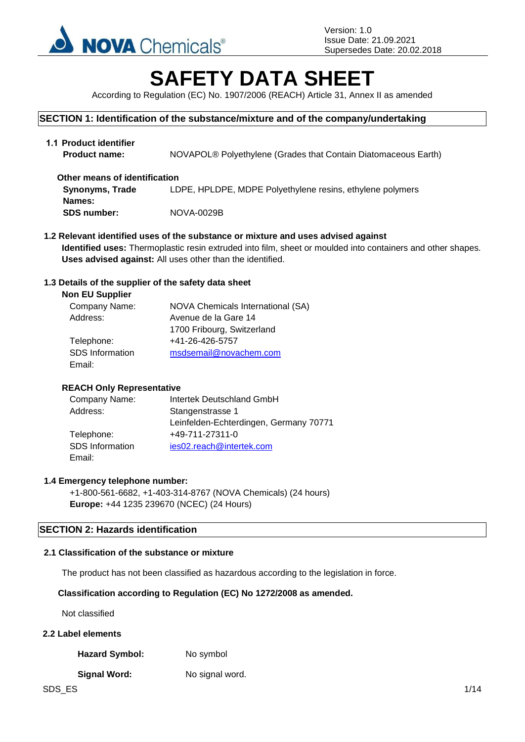

# **SAFETY DATA SHEET**

According to Regulation (EC) No. 1907/2006 (REACH) Article 31, Annex II as amended

### **SECTION 1: Identification of the substance/mixture and of the company/undertaking**

| 1.1 Product identifier<br><b>Product name:</b> | NOVAPOL® Polyethylene (Grades that Contain Diatomaceous Earth) |
|------------------------------------------------|----------------------------------------------------------------|
| Other means of identification                  |                                                                |
| <b>Synonyms, Trade</b>                         | LDPE, HPLDPE, MDPE Polyethylene resins, ethylene polymers      |
| Names:                                         |                                                                |
| <b>SDS number:</b>                             | NOVA-0029B                                                     |

**1.2 Relevant identified uses of the substance or mixture and uses advised against Identified uses:** Thermoplastic resin extruded into film, sheet or moulded into containers and other shapes. **Uses advised against:** All uses other than the identified.

### **1.3 Details of the supplier of the safety data sheet**

| <b>NOVA Chemicals International (SA)</b> |
|------------------------------------------|
| Avenue de la Gare 14                     |
| 1700 Fribourg, Switzerland               |
| +41-26-426-5757                          |
| msdsemail@novachem.com                   |
|                                          |
|                                          |

### **REACH Only Representative**

| Company Name:   | Intertek Deutschland GmbH              |  |  |
|-----------------|----------------------------------------|--|--|
| Address:        | Stangenstrasse 1                       |  |  |
|                 | Leinfelden-Echterdingen, Germany 70771 |  |  |
| Telephone:      | +49-711-27311-0                        |  |  |
| SDS Information | ies02.reach@intertek.com               |  |  |
| Email:          |                                        |  |  |

### **1.4 Emergency telephone number:**

+1-800-561-6682, +1-403-314-8767 (NOVA Chemicals) (24 hours) **Europe:** +44 1235 239670 (NCEC) (24 Hours)

### **SECTION 2: Hazards identification**

#### **2.1 Classification of the substance or mixture**

The product has not been classified as hazardous according to the legislation in force.

### **Classification according to Regulation (EC) No 1272/2008 as amended.**

Not classified

### **2.2 Label elements**

Hazard Symbol: No symbol

### **Signal Word:** No signal word.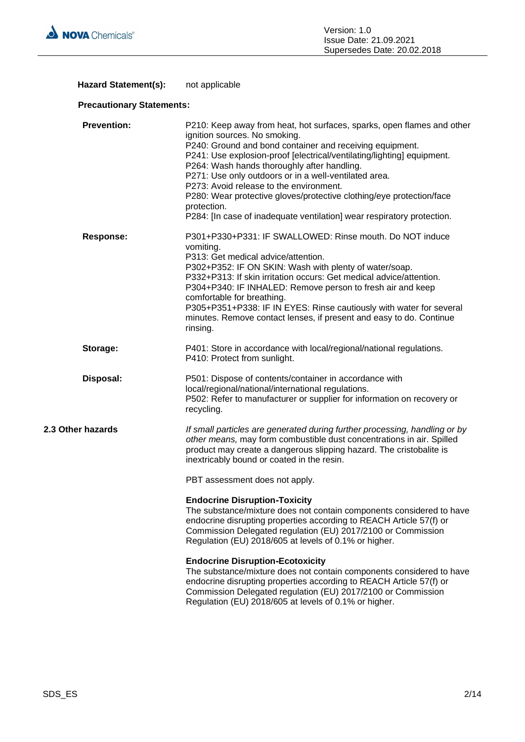

### Hazard Statement(s): not applicable

### **Precautionary Statements:**

| <b>Prevention:</b> | P210: Keep away from heat, hot surfaces, sparks, open flames and other<br>ignition sources. No smoking.<br>P240: Ground and bond container and receiving equipment.<br>P241: Use explosion-proof [electrical/ventilating/lighting] equipment.<br>P264: Wash hands thoroughly after handling.<br>P271: Use only outdoors or in a well-ventilated area.<br>P273: Avoid release to the environment.<br>P280: Wear protective gloves/protective clothing/eye protection/face<br>protection.<br>P284: [In case of inadequate ventilation] wear respiratory protection. |
|--------------------|-------------------------------------------------------------------------------------------------------------------------------------------------------------------------------------------------------------------------------------------------------------------------------------------------------------------------------------------------------------------------------------------------------------------------------------------------------------------------------------------------------------------------------------------------------------------|
| <b>Response:</b>   | P301+P330+P331: IF SWALLOWED: Rinse mouth. Do NOT induce<br>vomiting.<br>P313: Get medical advice/attention.<br>P302+P352: IF ON SKIN: Wash with plenty of water/soap.<br>P332+P313: If skin irritation occurs: Get medical advice/attention.<br>P304+P340: IF INHALED: Remove person to fresh air and keep<br>comfortable for breathing.<br>P305+P351+P338: IF IN EYES: Rinse cautiously with water for several<br>minutes. Remove contact lenses, if present and easy to do. Continue<br>rinsing.                                                               |
| Storage:           | P401: Store in accordance with local/regional/national regulations.<br>P410: Protect from sunlight.                                                                                                                                                                                                                                                                                                                                                                                                                                                               |
| Disposal:          | P501: Dispose of contents/container in accordance with<br>local/regional/national/international regulations.<br>P502: Refer to manufacturer or supplier for information on recovery or<br>recycling.                                                                                                                                                                                                                                                                                                                                                              |
| 2.3 Other hazards  | If small particles are generated during further processing, handling or by<br>other means, may form combustible dust concentrations in air. Spilled<br>product may create a dangerous slipping hazard. The cristobalite is<br>inextricably bound or coated in the resin.                                                                                                                                                                                                                                                                                          |
|                    | PBT assessment does not apply.                                                                                                                                                                                                                                                                                                                                                                                                                                                                                                                                    |
|                    | <b>Endocrine Disruption-Toxicity</b><br>The substance/mixture does not contain components considered to have<br>endocrine disrupting properties according to REACH Article 57(f) or<br>Commission Delegated regulation (EU) 2017/2100 or Commission<br>Regulation (EU) 2018/605 at levels of 0.1% or higher.                                                                                                                                                                                                                                                      |
|                    | <b>Endocrine Disruption-Ecotoxicity</b><br>The substance/mixture does not contain components considered to have<br>endocrine disrupting properties according to REACH Article 57(f) or<br>Commission Delegated regulation (EU) 2017/2100 or Commission<br>Regulation (EU) 2018/605 at levels of 0.1% or higher.                                                                                                                                                                                                                                                   |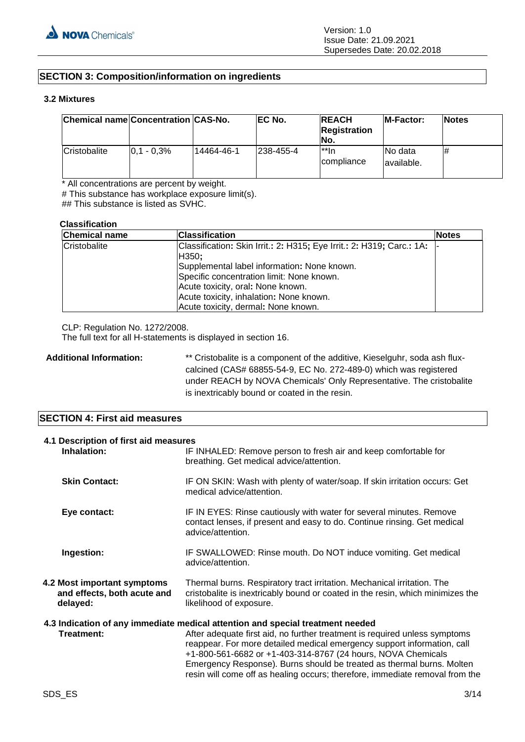### **SECTION 3: Composition/information on ingredients**

### **3.2 Mixtures**

| Chemical name Concentration CAS-No. |               |            | EC No.    | <b>REACH</b><br><b>Registration</b><br>No. | <b>IM-Factor:</b>      | <b>Notes</b> |
|-------------------------------------|---------------|------------|-----------|--------------------------------------------|------------------------|--------------|
| Cristobalite                        | $0.1 - 0.3\%$ | 14464-46-1 | 238-455-4 | $^{\star\star}$ In<br>compliance           | No data<br>lavailable. | #            |

\* All concentrations are percent by weight.

# This substance has workplace exposure limit(s).

## This substance is listed as SVHC.

#### **Classification**

| <b>Chemical name</b> | <b>Classification</b>                                                 | <b>Notes</b> |
|----------------------|-----------------------------------------------------------------------|--------------|
| Cristobalite         | Classification: Skin Irrit.: 2: H315; Eye Irrit.: 2: H319; Carc.: 1A: |              |
|                      | H350;                                                                 |              |
|                      | Supplemental label information: None known.                           |              |
|                      | Specific concentration limit: None known.                             |              |
|                      | Acute toxicity, oral: None known.                                     |              |
|                      | Acute toxicity, inhalation: None known.                               |              |
|                      | Acute toxicity, dermal: None known.                                   |              |

CLP: Regulation No. 1272/2008.

The full text for all H-statements is displayed in section 16.

Additional Information: \*\* Cristobalite is a component of the additive, Kieselguhr, soda ash fluxcalcined (CAS# 68855-54-9, EC No. 272-489-0) which was registered under REACH by NOVA Chemicals' Only Representative. The cristobalite is inextricably bound or coated in the resin.

### **SECTION 4: First aid measures**

| 4.1 Description of first aid measures<br>Inhalation:                   | IF INHALED: Remove person to fresh air and keep comfortable for<br>breathing. Get medical advice/attention.                                                                                                                                                                                                                                                                                                                                                      |
|------------------------------------------------------------------------|------------------------------------------------------------------------------------------------------------------------------------------------------------------------------------------------------------------------------------------------------------------------------------------------------------------------------------------------------------------------------------------------------------------------------------------------------------------|
| <b>Skin Contact:</b>                                                   | IF ON SKIN: Wash with plenty of water/soap. If skin irritation occurs: Get<br>medical advice/attention.                                                                                                                                                                                                                                                                                                                                                          |
| Eye contact:                                                           | IF IN EYES: Rinse cautiously with water for several minutes. Remove<br>contact lenses, if present and easy to do. Continue rinsing. Get medical<br>advice/attention.                                                                                                                                                                                                                                                                                             |
| Ingestion:                                                             | IF SWALLOWED: Rinse mouth. Do NOT induce vomiting. Get medical<br>advice/attention.                                                                                                                                                                                                                                                                                                                                                                              |
| 4.2 Most important symptoms<br>and effects, both acute and<br>delayed: | Thermal burns. Respiratory tract irritation. Mechanical irritation. The<br>cristobalite is inextricably bound or coated in the resin, which minimizes the<br>likelihood of exposure.                                                                                                                                                                                                                                                                             |
| Treatment:                                                             | 4.3 Indication of any immediate medical attention and special treatment needed<br>After adequate first aid, no further treatment is required unless symptoms<br>reappear. For more detailed medical emergency support information, call<br>+1-800-561-6682 or +1-403-314-8767 (24 hours, NOVA Chemicals<br>Emergency Response). Burns should be treated as thermal burns. Molten<br>resin will come off as healing occurs; therefore, immediate removal from the |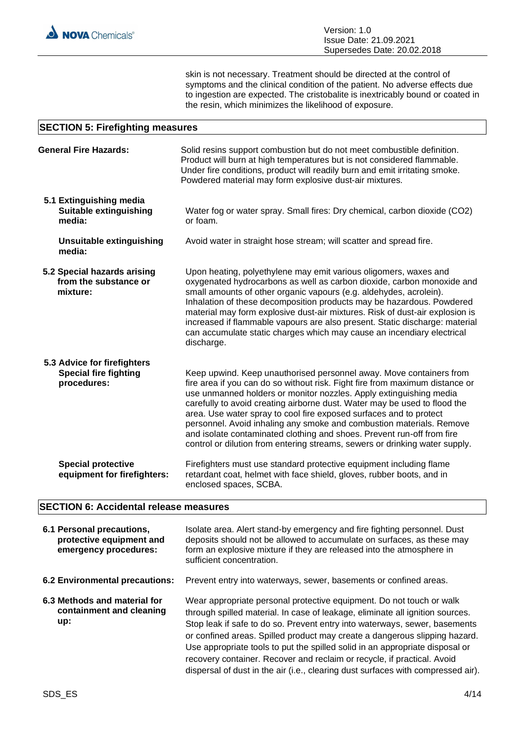skin is not necessary. Treatment should be directed at the control of symptoms and the clinical condition of the patient. No adverse effects due to ingestion are expected. The cristobalite is inextricably bound or coated in the resin, which minimizes the likelihood of exposure.

#### **SECTION 5: Firefighting measures** General Fire Hazards: Solid resins support combustion but do not meet combustible definition. Product will burn at high temperatures but is not considered flammable. Under fire conditions, product will readily burn and emit irritating smoke. Powdered material may form explosive dust-air mixtures. **5.1 Extinguishing media Suitable extinguishing media:** Water fog or water spray. Small fires: Dry chemical, carbon dioxide (CO2) or foam. **Unsuitable extinguishing media:** Avoid water in straight hose stream; will scatter and spread fire. **5.2 Special hazards arising from the substance or mixture:** Upon heating, polyethylene may emit various oligomers, waxes and oxygenated hydrocarbons as well as carbon dioxide, carbon monoxide and small amounts of other organic vapours (e.g. aldehydes, acrolein). Inhalation of these decomposition products may be hazardous. Powdered material may form explosive dust-air mixtures. Risk of dust-air explosion is increased if flammable vapours are also present. Static discharge: material can accumulate static charges which may cause an incendiary electrical discharge. **5.3 Advice for firefighters Special fire fighting procedures:** Keep upwind. Keep unauthorised personnel away. Move containers from

fire area if you can do so without risk. Fight fire from maximum distance or use unmanned holders or monitor nozzles. Apply extinguishing media carefully to avoid creating airborne dust. Water may be used to flood the area. Use water spray to cool fire exposed surfaces and to protect personnel. Avoid inhaling any smoke and combustion materials. Remove and isolate contaminated clothing and shoes. Prevent run-off from fire control or dilution from entering streams, sewers or drinking water supply.

**Special protective equipment for firefighters:** Firefighters must use standard protective equipment including flame retardant coat, helmet with face shield, gloves, rubber boots, and in enclosed spaces, SCBA.

### **SECTION 6: Accidental release measures**

| 6.1 Personal precautions,<br>protective equipment and<br>emergency procedures: | Isolate area. Alert stand-by emergency and fire fighting personnel. Dust<br>deposits should not be allowed to accumulate on surfaces, as these may<br>form an explosive mixture if they are released into the atmosphere in<br>sufficient concentration.                                                                                                                                                                                                                                                                                                         |
|--------------------------------------------------------------------------------|------------------------------------------------------------------------------------------------------------------------------------------------------------------------------------------------------------------------------------------------------------------------------------------------------------------------------------------------------------------------------------------------------------------------------------------------------------------------------------------------------------------------------------------------------------------|
| 6.2 Environmental precautions:                                                 | Prevent entry into waterways, sewer, basements or confined areas.                                                                                                                                                                                                                                                                                                                                                                                                                                                                                                |
| 6.3 Methods and material for<br>containment and cleaning<br>up:                | Wear appropriate personal protective equipment. Do not touch or walk<br>through spilled material. In case of leakage, eliminate all ignition sources.<br>Stop leak if safe to do so. Prevent entry into waterways, sewer, basements<br>or confined areas. Spilled product may create a dangerous slipping hazard.<br>Use appropriate tools to put the spilled solid in an appropriate disposal or<br>recovery container. Recover and reclaim or recycle, if practical. Avoid<br>dispersal of dust in the air (i.e., clearing dust surfaces with compressed air). |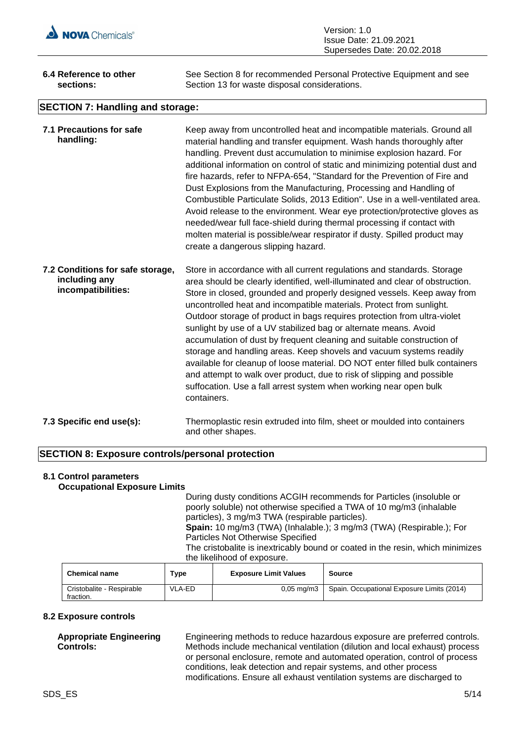

| Version: 1.0                |
|-----------------------------|
| Issue Date: 21.09.2021      |
| Supersedes Date: 20.02.2018 |

| 6.4 Reference to other                  | See Section 8 for recommended Personal Protective Equipment and see |  |  |  |
|-----------------------------------------|---------------------------------------------------------------------|--|--|--|
| sections:                               | Section 13 for waste disposal considerations.                       |  |  |  |
| <b>SECTION 7: Handling and storage:</b> |                                                                     |  |  |  |

| 7.1 Precautions for safe<br>handling:                                   | Keep away from uncontrolled heat and incompatible materials. Ground all<br>material handling and transfer equipment. Wash hands thoroughly after<br>handling. Prevent dust accumulation to minimise explosion hazard. For<br>additional information on control of static and minimizing potential dust and<br>fire hazards, refer to NFPA-654, "Standard for the Prevention of Fire and<br>Dust Explosions from the Manufacturing, Processing and Handling of<br>Combustible Particulate Solids, 2013 Edition". Use in a well-ventilated area.<br>Avoid release to the environment. Wear eye protection/protective gloves as<br>needed/wear full face-shield during thermal processing if contact with<br>molten material is possible/wear respirator if dusty. Spilled product may<br>create a dangerous slipping hazard.                                 |
|-------------------------------------------------------------------------|------------------------------------------------------------------------------------------------------------------------------------------------------------------------------------------------------------------------------------------------------------------------------------------------------------------------------------------------------------------------------------------------------------------------------------------------------------------------------------------------------------------------------------------------------------------------------------------------------------------------------------------------------------------------------------------------------------------------------------------------------------------------------------------------------------------------------------------------------------|
| 7.2 Conditions for safe storage,<br>including any<br>incompatibilities: | Store in accordance with all current regulations and standards. Storage<br>area should be clearly identified, well-illuminated and clear of obstruction.<br>Store in closed, grounded and properly designed vessels. Keep away from<br>uncontrolled heat and incompatible materials. Protect from sunlight.<br>Outdoor storage of product in bags requires protection from ultra-violet<br>sunlight by use of a UV stabilized bag or alternate means. Avoid<br>accumulation of dust by frequent cleaning and suitable construction of<br>storage and handling areas. Keep shovels and vacuum systems readily<br>available for cleanup of loose material. DO NOT enter filled bulk containers<br>and attempt to walk over product, due to risk of slipping and possible<br>suffocation. Use a fall arrest system when working near open bulk<br>containers. |
| 7.3 Specific end use(s):                                                | Thermoplastic resin extruded into film, sheet or moulded into containers<br>and other shapes.                                                                                                                                                                                                                                                                                                                                                                                                                                                                                                                                                                                                                                                                                                                                                              |

### **SECTION 8: Exposure controls/personal protection**

#### **8.1 Control parameters Occupational Exposure Limits**

During dusty conditions ACGIH recommends for Particles (insoluble or poorly soluble) not otherwise specified a TWA of 10 mg/m3 (inhalable particles), 3 mg/m3 TWA (respirable particles). **Spain:** 10 mg/m3 (TWA) (Inhalable.); 3 mg/m3 (TWA) (Respirable.); For Particles Not Otherwise Specified The cristobalite is inextricably bound or coated in the resin, which minimizes the likelihood of exposure.

| <b>Chemical name</b>                   | $T$ vpe | <b>Exposure Limit Values</b> | Source                                     |
|----------------------------------------|---------|------------------------------|--------------------------------------------|
| Cristobalite - Respirable<br>fraction. | VLA-ED  | $0.05 \text{ ma/m}$ 3        | Spain. Occupational Exposure Limits (2014) |

### **8.2 Exposure controls**

### **Appropriate Engineering Controls:**

Engineering methods to reduce hazardous exposure are preferred controls. Methods include mechanical ventilation (dilution and local exhaust) process or personal enclosure, remote and automated operation, control of process conditions, leak detection and repair systems, and other process modifications. Ensure all exhaust ventilation systems are discharged to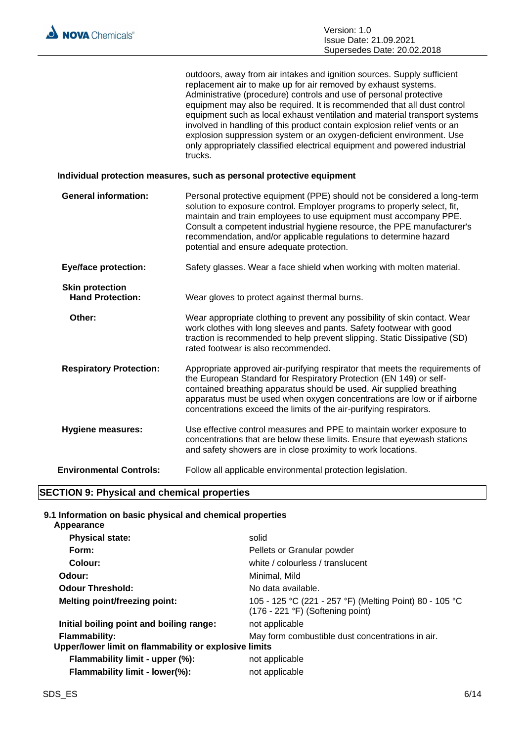| outdoors, away from air intakes and ignition sources. Supply sufficient    |
|----------------------------------------------------------------------------|
| replacement air to make up for air removed by exhaust systems.             |
| Administrative (procedure) controls and use of personal protective         |
| equipment may also be required. It is recommended that all dust control    |
| equipment such as local exhaust ventilation and material transport systems |
| involved in handling of this product contain explosion relief vents or an  |
| explosion suppression system or an oxygen-deficient environment. Use       |
| only appropriately classified electrical equipment and powered industrial  |
| trucks.                                                                    |
|                                                                            |

#### **Individual protection measures, such as personal protective equipment**

**General information:** Personal protective equipment (PPE) should not be considered a long-term solution to exposure control. Employer programs to properly select, fit, maintain and train employees to use equipment must accompany PPE. Consult a competent industrial hygiene resource, the PPE manufacturer's recommendation, and/or applicable regulations to determine hazard potential and ensure adequate protection. **Eye/face protection:** Safety glasses. Wear a face shield when working with molten material. **Skin protection<br>
Hand Protection:** Wear gloves to protect against thermal burns. **Other:** Wear appropriate clothing to prevent any possibility of skin contact. Wear work clothes with long sleeves and pants. Safety footwear with good traction is recommended to help prevent slipping. Static Dissipative (SD) rated footwear is also recommended. **Respiratory Protection:** Appropriate approved air-purifying respirator that meets the requirements of the European Standard for Respiratory Protection (EN 149) or selfcontained breathing apparatus should be used. Air supplied breathing apparatus must be used when oxygen concentrations are low or if airborne concentrations exceed the limits of the air-purifying respirators. **Hygiene measures:** Use effective control measures and PPE to maintain worker exposure to concentrations that are below these limits. Ensure that eyewash stations and safety showers are in close proximity to work locations. **Environmental Controls:** Follow all applicable environmental protection legislation.

### **SECTION 9: Physical and chemical properties**

#### **9.1 Information on basic physical and chemical properties Appearance**

| , ,ppvu, u, ,vv                                                               |                                                                                             |
|-------------------------------------------------------------------------------|---------------------------------------------------------------------------------------------|
| <b>Physical state:</b>                                                        | solid                                                                                       |
| Form:                                                                         | Pellets or Granular powder                                                                  |
| Colour:                                                                       | white / colourless / translucent                                                            |
| Odour:                                                                        | Minimal, Mild                                                                               |
| <b>Odour Threshold:</b>                                                       | No data available.                                                                          |
| <b>Melting point/freezing point:</b>                                          | 105 - 125 °C (221 - 257 °F) (Melting Point) 80 - 105 °C<br>(176 - 221 °F) (Softening point) |
| Initial boiling point and boiling range:                                      | not applicable                                                                              |
| <b>Flammability:</b><br>Upper/lower limit on flammability or explosive limits | May form combustible dust concentrations in air.                                            |
| Flammability limit - upper (%):                                               | not applicable                                                                              |
| Flammability limit - lower(%):                                                | not applicable                                                                              |
|                                                                               |                                                                                             |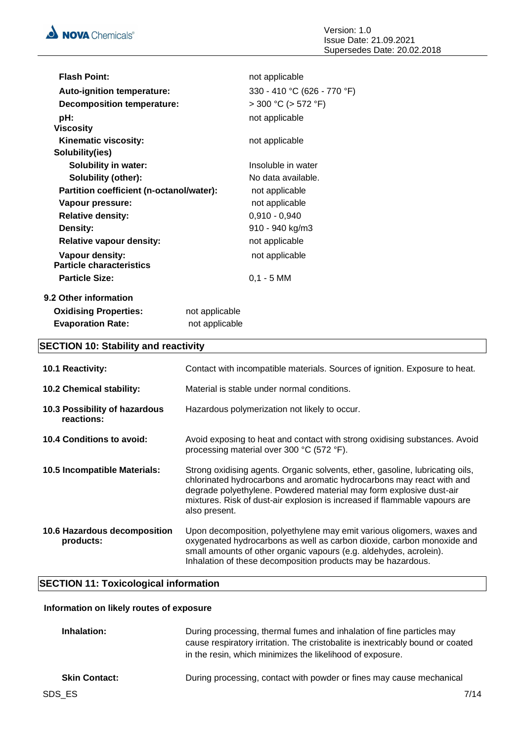| <b>Flash Point:</b>                      |                | not applicable              |
|------------------------------------------|----------------|-----------------------------|
| <b>Auto-ignition temperature:</b>        |                | 330 - 410 °C (626 - 770 °F) |
| <b>Decomposition temperature:</b>        |                | $>$ 300 °C ( $>$ 572 °F)    |
| pH:                                      |                | not applicable              |
| <b>Viscosity</b>                         |                |                             |
| Kinematic viscosity:                     |                | not applicable              |
| Solubility(ies)                          |                |                             |
| <b>Solubility in water:</b>              |                | Insoluble in water          |
| <b>Solubility (other):</b>               |                | No data available.          |
| Partition coefficient (n-octanol/water): |                | not applicable              |
| Vapour pressure:                         |                | not applicable              |
| <b>Relative density:</b>                 |                | $0,910 - 0,940$             |
| Density:                                 |                | 910 - 940 kg/m3             |
| <b>Relative vapour density:</b>          |                | not applicable              |
| Vapour density:                          |                | not applicable              |
| <b>Particle characteristics</b>          |                |                             |
| <b>Particle Size:</b>                    |                | $0,1 - 5$ MM                |
| 9.2 Other information                    |                |                             |
| <b>Oxidising Properties:</b>             | not applicable |                             |
| <b>Evaporation Rate:</b>                 | not applicable |                             |

## **SECTION 10: Stability and reactivity**

| <b>10.1 Reactivity:</b>                     | Contact with incompatible materials. Sources of ignition. Exposure to heat.                                                                                                                                                                                                                                                  |
|---------------------------------------------|------------------------------------------------------------------------------------------------------------------------------------------------------------------------------------------------------------------------------------------------------------------------------------------------------------------------------|
| 10.2 Chemical stability:                    | Material is stable under normal conditions.                                                                                                                                                                                                                                                                                  |
| 10.3 Possibility of hazardous<br>reactions: | Hazardous polymerization not likely to occur.                                                                                                                                                                                                                                                                                |
| 10.4 Conditions to avoid:                   | Avoid exposing to heat and contact with strong oxidising substances. Avoid<br>processing material over 300 °C (572 °F).                                                                                                                                                                                                      |
| 10.5 Incompatible Materials:                | Strong oxidising agents. Organic solvents, ether, gasoline, lubricating oils,<br>chlorinated hydrocarbons and aromatic hydrocarbons may react with and<br>degrade polyethylene. Powdered material may form explosive dust-air<br>mixtures. Risk of dust-air explosion is increased if flammable vapours are<br>also present. |
| 10.6 Hazardous decomposition<br>products:   | Upon decomposition, polyethylene may emit various oligomers, waxes and<br>oxygenated hydrocarbons as well as carbon dioxide, carbon monoxide and<br>small amounts of other organic vapours (e.g. aldehydes, acrolein).<br>Inhalation of these decomposition products may be hazardous.                                       |

### **SECTION 11: Toxicological information**

### **Information on likely routes of exposure**

| Inhalation:          | During processing, thermal fumes and inhalation of fine particles may<br>cause respiratory irritation. The cristobalite is inextricably bound or coated<br>in the resin, which minimizes the likelihood of exposure. |
|----------------------|----------------------------------------------------------------------------------------------------------------------------------------------------------------------------------------------------------------------|
| <b>Skin Contact:</b> | During processing, contact with powder or fines may cause mechanical                                                                                                                                                 |
| SDS ES               | 7/14                                                                                                                                                                                                                 |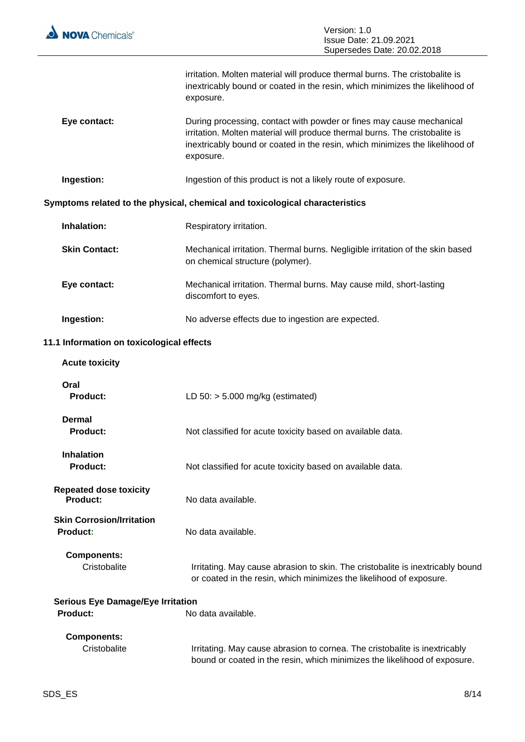

 $\overline{a}$ 

|                                                             | irritation. Molten material will produce thermal burns. The cristobalite is<br>inextricably bound or coated in the resin, which minimizes the likelihood of<br>exposure.                                                                         |
|-------------------------------------------------------------|--------------------------------------------------------------------------------------------------------------------------------------------------------------------------------------------------------------------------------------------------|
| Eye contact:                                                | During processing, contact with powder or fines may cause mechanical<br>irritation. Molten material will produce thermal burns. The cristobalite is<br>inextricably bound or coated in the resin, which minimizes the likelihood of<br>exposure. |
| Ingestion:                                                  | Ingestion of this product is not a likely route of exposure.                                                                                                                                                                                     |
|                                                             | Symptoms related to the physical, chemical and toxicological characteristics                                                                                                                                                                     |
| Inhalation:                                                 | Respiratory irritation.                                                                                                                                                                                                                          |
| <b>Skin Contact:</b>                                        | Mechanical irritation. Thermal burns. Negligible irritation of the skin based<br>on chemical structure (polymer).                                                                                                                                |
| Eye contact:                                                | Mechanical irritation. Thermal burns. May cause mild, short-lasting<br>discomfort to eyes.                                                                                                                                                       |
| Ingestion:                                                  | No adverse effects due to ingestion are expected.                                                                                                                                                                                                |
| 11.1 Information on toxicological effects                   |                                                                                                                                                                                                                                                  |
| <b>Acute toxicity</b>                                       |                                                                                                                                                                                                                                                  |
| Oral<br><b>Product:</b>                                     | LD $50:$ > 5.000 mg/kg (estimated)                                                                                                                                                                                                               |
| Dermal<br>Product:                                          | Not classified for acute toxicity based on available data.                                                                                                                                                                                       |
| <b>Inhalation</b><br><b>Product:</b>                        | Not classified for acute toxicity based on available data.                                                                                                                                                                                       |
| <b>Repeated dose toxicity</b><br>Product:                   | No data available.                                                                                                                                                                                                                               |
| <b>Skin Corrosion/Irritation</b><br>Product:                | No data available.                                                                                                                                                                                                                               |
| <b>Components:</b><br>Cristobalite                          | Irritating. May cause abrasion to skin. The cristobalite is inextricably bound<br>or coated in the resin, which minimizes the likelihood of exposure.                                                                                            |
| <b>Serious Eye Damage/Eye Irritation</b><br><b>Product:</b> | No data available.                                                                                                                                                                                                                               |
| <b>Components:</b><br>Cristobalite                          | Irritating. May cause abrasion to cornea. The cristobalite is inextricably<br>bound or coated in the resin, which minimizes the likelihood of exposure.                                                                                          |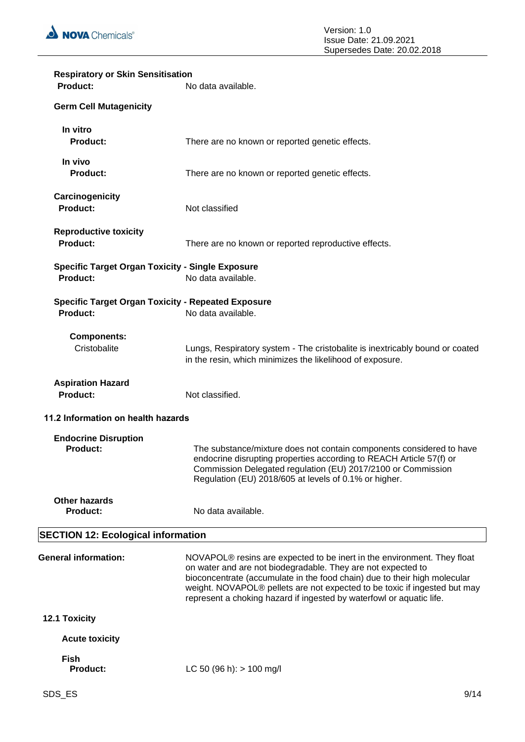

| <b>Respiratory or Skin Sensitisation</b><br>Product:                         | No data available.                                                                                                                                                                                                                                                                                                                                                                    |  |
|------------------------------------------------------------------------------|---------------------------------------------------------------------------------------------------------------------------------------------------------------------------------------------------------------------------------------------------------------------------------------------------------------------------------------------------------------------------------------|--|
| <b>Germ Cell Mutagenicity</b>                                                |                                                                                                                                                                                                                                                                                                                                                                                       |  |
| In vitro<br><b>Product:</b>                                                  | There are no known or reported genetic effects.                                                                                                                                                                                                                                                                                                                                       |  |
| In vivo<br><b>Product:</b>                                                   | There are no known or reported genetic effects.                                                                                                                                                                                                                                                                                                                                       |  |
| Carcinogenicity<br><b>Product:</b>                                           | Not classified                                                                                                                                                                                                                                                                                                                                                                        |  |
| <b>Reproductive toxicity</b><br><b>Product:</b>                              | There are no known or reported reproductive effects.                                                                                                                                                                                                                                                                                                                                  |  |
| <b>Specific Target Organ Toxicity - Single Exposure</b><br><b>Product:</b>   | No data available.                                                                                                                                                                                                                                                                                                                                                                    |  |
| <b>Specific Target Organ Toxicity - Repeated Exposure</b><br><b>Product:</b> | No data available.                                                                                                                                                                                                                                                                                                                                                                    |  |
| <b>Components:</b><br>Cristobalite                                           | Lungs, Respiratory system - The cristobalite is inextricably bound or coated<br>in the resin, which minimizes the likelihood of exposure.                                                                                                                                                                                                                                             |  |
| <b>Aspiration Hazard</b><br><b>Product:</b>                                  | Not classified.                                                                                                                                                                                                                                                                                                                                                                       |  |
| 11.2 Information on health hazards                                           |                                                                                                                                                                                                                                                                                                                                                                                       |  |
| <b>Endocrine Disruption</b><br><b>Product:</b>                               | The substance/mixture does not contain components considered to have<br>endocrine disrupting properties according to REACH Article 57(f) or<br>Commission Delegated regulation (EU) 2017/2100 or Commission<br>Regulation (EU) 2018/605 at levels of 0.1% or higher.                                                                                                                  |  |
| <b>Other hazards</b><br><b>Product:</b>                                      | No data available.                                                                                                                                                                                                                                                                                                                                                                    |  |
| <b>SECTION 12: Ecological information</b>                                    |                                                                                                                                                                                                                                                                                                                                                                                       |  |
| <b>General information:</b>                                                  | NOVAPOL <sup>®</sup> resins are expected to be inert in the environment. They float<br>on water and are not biodegradable. They are not expected to<br>bioconcentrate (accumulate in the food chain) due to their high molecular<br>weight. NOVAPOL® pellets are not expected to be toxic if ingested but may<br>represent a choking hazard if ingested by waterfowl or aquatic life. |  |
| 12.1 Toxicity                                                                |                                                                                                                                                                                                                                                                                                                                                                                       |  |
| <b>Acute toxicity</b>                                                        |                                                                                                                                                                                                                                                                                                                                                                                       |  |
| <b>Fish</b><br><b>Product:</b>                                               | LC 50 (96 h): $> 100$ mg/l                                                                                                                                                                                                                                                                                                                                                            |  |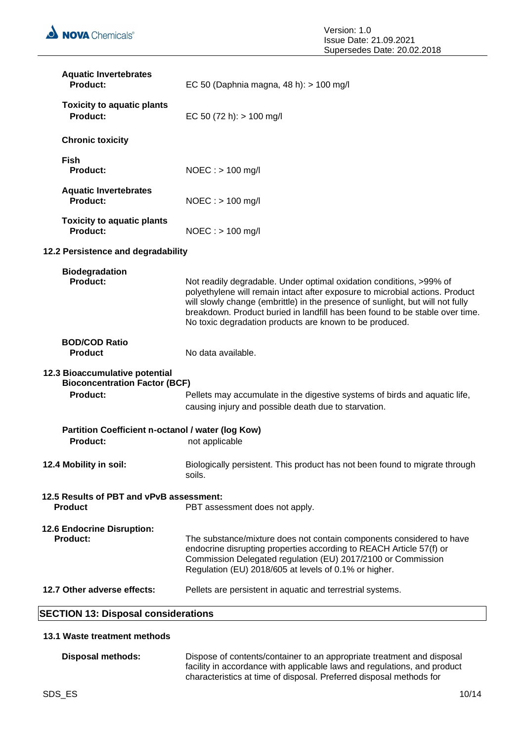| <b>Aquatic Invertebrates</b><br><b>Product:</b>                                           | EC 50 (Daphnia magna, 48 h): > 100 mg/l                                                                                                                                                                                                                                                                                                                                          |
|-------------------------------------------------------------------------------------------|----------------------------------------------------------------------------------------------------------------------------------------------------------------------------------------------------------------------------------------------------------------------------------------------------------------------------------------------------------------------------------|
| <b>Toxicity to aquatic plants</b><br>Product:                                             | EC 50 (72 h): $> 100$ mg/l                                                                                                                                                                                                                                                                                                                                                       |
| <b>Chronic toxicity</b>                                                                   |                                                                                                                                                                                                                                                                                                                                                                                  |
| <b>Fish</b><br>Product:                                                                   | NOEC: > 100 mg/l                                                                                                                                                                                                                                                                                                                                                                 |
| <b>Aquatic Invertebrates</b><br><b>Product:</b>                                           | $NOEC : > 100$ mg/l                                                                                                                                                                                                                                                                                                                                                              |
| <b>Toxicity to aquatic plants</b><br><b>Product:</b>                                      | $NOEC :$ > 100 mg/l                                                                                                                                                                                                                                                                                                                                                              |
| 12.2 Persistence and degradability                                                        |                                                                                                                                                                                                                                                                                                                                                                                  |
| <b>Biodegradation</b><br>Product:                                                         | Not readily degradable. Under optimal oxidation conditions, >99% of<br>polyethylene will remain intact after exposure to microbial actions. Product<br>will slowly change (embrittle) in the presence of sunlight, but will not fully<br>breakdown. Product buried in landfill has been found to be stable over time.<br>No toxic degradation products are known to be produced. |
| <b>BOD/COD Ratio</b><br><b>Product</b>                                                    | No data available.                                                                                                                                                                                                                                                                                                                                                               |
| 12.3 Bioaccumulative potential<br><b>Bioconcentration Factor (BCF)</b><br><b>Product:</b> | Pellets may accumulate in the digestive systems of birds and aquatic life,<br>causing injury and possible death due to starvation.                                                                                                                                                                                                                                               |
| Partition Coefficient n-octanol / water (log Kow)<br><b>Product:</b>                      | not applicable                                                                                                                                                                                                                                                                                                                                                                   |
| 12.4 Mobility in soil:                                                                    | Biologically persistent. This product has not been found to migrate through<br>soils.                                                                                                                                                                                                                                                                                            |
| 12.5 Results of PBT and vPvB assessment:<br><b>Product</b>                                | PBT assessment does not apply.                                                                                                                                                                                                                                                                                                                                                   |
| 12.6 Endocrine Disruption:<br><b>Product:</b>                                             | The substance/mixture does not contain components considered to have<br>endocrine disrupting properties according to REACH Article 57(f) or<br>Commission Delegated regulation (EU) 2017/2100 or Commission<br>Regulation (EU) 2018/605 at levels of 0.1% or higher.                                                                                                             |
| 12.7 Other adverse effects:                                                               | Pellets are persistent in aquatic and terrestrial systems.                                                                                                                                                                                                                                                                                                                       |
| <b>SECTION 13: Disposal considerations</b>                                                |                                                                                                                                                                                                                                                                                                                                                                                  |

### **13.1 Waste treatment methods**

| Disposal methods: | Dispose of contents/container to an appropriate treatment and disposal   |
|-------------------|--------------------------------------------------------------------------|
|                   | facility in accordance with applicable laws and regulations, and product |
|                   | characteristics at time of disposal. Preferred disposal methods for      |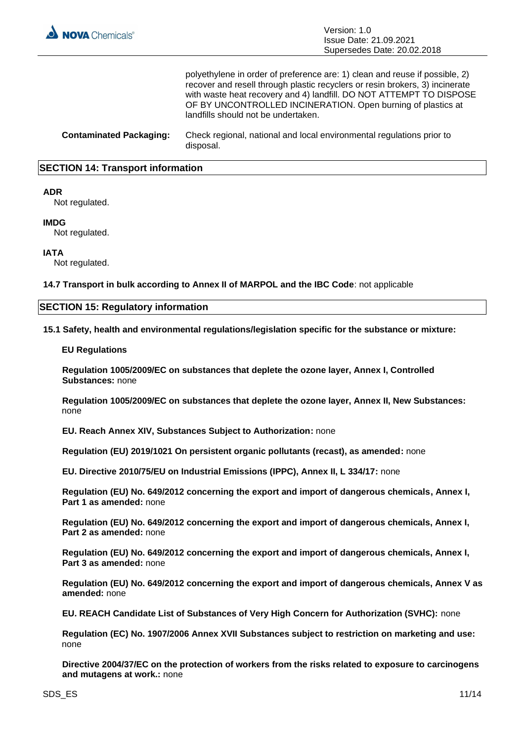

polyethylene in order of preference are: 1) clean and reuse if possible, 2) recover and resell through plastic recyclers or resin brokers, 3) incinerate with waste heat recovery and 4) landfill. DO NOT ATTEMPT TO DISPOSE OF BY UNCONTROLLED INCINERATION. Open burning of plastics at landfills should not be undertaken.

**Contaminated Packaging:** Check regional, national and local environmental regulations prior to disposal.

#### **SECTION 14: Transport information**

#### **ADR**

Not regulated.

#### **IMDG**

Not regulated.

#### **IATA**

Not regulated.

**14.7 Transport in bulk according to Annex II of MARPOL and the IBC Code**: not applicable

#### **SECTION 15: Regulatory information**

**15.1 Safety, health and environmental regulations/legislation specific for the substance or mixture:**

#### **EU Regulations**

**Regulation 1005/2009/EC on substances that deplete the ozone layer, Annex I, Controlled Substances:** none

**Regulation 1005/2009/EC on substances that deplete the ozone layer, Annex II, New Substances:**  none

**EU. Reach Annex XIV, Substances Subject to Authorization:** none

**Regulation (EU) 2019/1021 On persistent organic pollutants (recast), as amended:** none

**EU. Directive 2010/75/EU on Industrial Emissions (IPPC), Annex II, L 334/17:** none

**Regulation (EU) No. 649/2012 concerning the export and import of dangerous chemicals, Annex I, Part 1 as amended:** none

**Regulation (EU) No. 649/2012 concerning the export and import of dangerous chemicals, Annex I, Part 2 as amended:** none

**Regulation (EU) No. 649/2012 concerning the export and import of dangerous chemicals, Annex I, Part 3 as amended:** none

**Regulation (EU) No. 649/2012 concerning the export and import of dangerous chemicals, Annex V as amended:** none

**EU. REACH Candidate List of Substances of Very High Concern for Authorization (SVHC):** none

**Regulation (EC) No. 1907/2006 Annex XVII Substances subject to restriction on marketing and use:**  none

**Directive 2004/37/EC on the protection of workers from the risks related to exposure to carcinogens and mutagens at work.:** none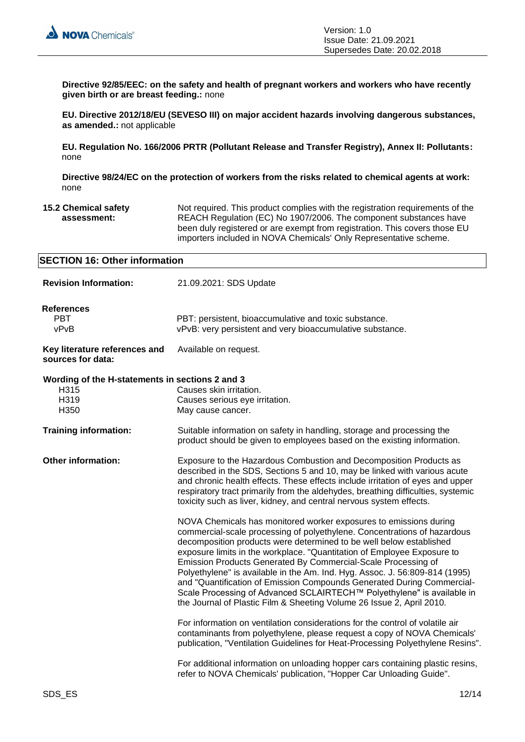

**Directive 92/85/EEC: on the safety and health of pregnant workers and workers who have recently given birth or are breast feeding.:** none

**EU. Directive 2012/18/EU (SEVESO III) on major accident hazards involving dangerous substances, as amended.:** not applicable

**EU. Regulation No. 166/2006 PRTR (Pollutant Release and Transfer Registry), Annex II: Pollutants:**  none

**Directive 98/24/EC on the protection of workers from the risks related to chemical agents at work:**  none

**15.2 Chemical safety assessment:** Not required. This product complies with the registration requirements of the REACH Regulation (EC) No 1907/2006. The component substances have been duly registered or are exempt from registration. This covers those EU importers included in NOVA Chemicals' Only Representative scheme.

| <b>SECTION 16: Other information</b>                                                |                                                                                                                                                                                                                                                                                                                                                                                                                                                                                                                                                                                                                                                                              |  |
|-------------------------------------------------------------------------------------|------------------------------------------------------------------------------------------------------------------------------------------------------------------------------------------------------------------------------------------------------------------------------------------------------------------------------------------------------------------------------------------------------------------------------------------------------------------------------------------------------------------------------------------------------------------------------------------------------------------------------------------------------------------------------|--|
| <b>Revision Information:</b>                                                        | 21.09.2021: SDS Update                                                                                                                                                                                                                                                                                                                                                                                                                                                                                                                                                                                                                                                       |  |
| <b>References</b><br><b>PBT</b><br>vPvB                                             | PBT: persistent, bioaccumulative and toxic substance.<br>vPvB: very persistent and very bioaccumulative substance.                                                                                                                                                                                                                                                                                                                                                                                                                                                                                                                                                           |  |
| Key literature references and<br>sources for data:                                  | Available on request.                                                                                                                                                                                                                                                                                                                                                                                                                                                                                                                                                                                                                                                        |  |
| Wording of the H-statements in sections 2 and 3<br>H315<br>H319<br>H <sub>350</sub> | Causes skin irritation.<br>Causes serious eye irritation.<br>May cause cancer.                                                                                                                                                                                                                                                                                                                                                                                                                                                                                                                                                                                               |  |
| <b>Training information:</b>                                                        | Suitable information on safety in handling, storage and processing the<br>product should be given to employees based on the existing information.                                                                                                                                                                                                                                                                                                                                                                                                                                                                                                                            |  |
| Other information:                                                                  | Exposure to the Hazardous Combustion and Decomposition Products as<br>described in the SDS, Sections 5 and 10, may be linked with various acute<br>and chronic health effects. These effects include irritation of eyes and upper<br>respiratory tract primarily from the aldehydes, breathing difficulties, systemic<br>toxicity such as liver, kidney, and central nervous system effects.                                                                                                                                                                                                                                                                                 |  |
|                                                                                     | NOVA Chemicals has monitored worker exposures to emissions during<br>commercial-scale processing of polyethylene. Concentrations of hazardous<br>decomposition products were determined to be well below established<br>exposure limits in the workplace. "Quantitation of Employee Exposure to<br>Emission Products Generated By Commercial-Scale Processing of<br>Polyethylene" is available in the Am. Ind. Hyg. Assoc. J. 56:809-814 (1995)<br>and "Quantification of Emission Compounds Generated During Commercial-<br>Scale Processing of Advanced SCLAIRTECH™ Polyethylene" is available in<br>the Journal of Plastic Film & Sheeting Volume 26 Issue 2, April 2010. |  |
|                                                                                     | For information on ventilation considerations for the control of volatile air<br>contaminants from polyethylene, please request a copy of NOVA Chemicals'<br>publication, "Ventilation Guidelines for Heat-Processing Polyethylene Resins".                                                                                                                                                                                                                                                                                                                                                                                                                                  |  |
|                                                                                     | For additional information on unloading hopper cars containing plastic resins,<br>refer to NOVA Chemicals' publication, "Hopper Car Unloading Guide".                                                                                                                                                                                                                                                                                                                                                                                                                                                                                                                        |  |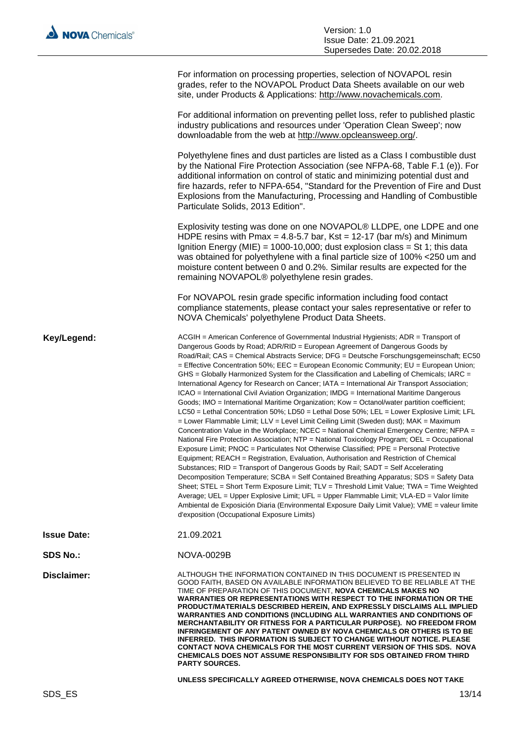|                    | For information on processing properties, selection of NOVAPOL resin<br>grades, refer to the NOVAPOL Product Data Sheets available on our web<br>site, under Products & Applications: http://www.novachemicals.com.                                                                                                                                                                                                                                                                                                                                                                                                                                                                                                                                                                                                                                                                                                                                                                                                                                                                                                                                                                                                                                                                                                                                                                                                                                                                                                                                                                                                                                                                                                                                                                                                                                 |
|--------------------|-----------------------------------------------------------------------------------------------------------------------------------------------------------------------------------------------------------------------------------------------------------------------------------------------------------------------------------------------------------------------------------------------------------------------------------------------------------------------------------------------------------------------------------------------------------------------------------------------------------------------------------------------------------------------------------------------------------------------------------------------------------------------------------------------------------------------------------------------------------------------------------------------------------------------------------------------------------------------------------------------------------------------------------------------------------------------------------------------------------------------------------------------------------------------------------------------------------------------------------------------------------------------------------------------------------------------------------------------------------------------------------------------------------------------------------------------------------------------------------------------------------------------------------------------------------------------------------------------------------------------------------------------------------------------------------------------------------------------------------------------------------------------------------------------------------------------------------------------------|
|                    | For additional information on preventing pellet loss, refer to published plastic<br>industry publications and resources under 'Operation Clean Sweep'; now<br>downloadable from the web at http://www.opcleansweep.org/.                                                                                                                                                                                                                                                                                                                                                                                                                                                                                                                                                                                                                                                                                                                                                                                                                                                                                                                                                                                                                                                                                                                                                                                                                                                                                                                                                                                                                                                                                                                                                                                                                            |
|                    | Polyethylene fines and dust particles are listed as a Class I combustible dust<br>by the National Fire Protection Association (see NFPA-68, Table F.1 (e)). For<br>additional information on control of static and minimizing potential dust and<br>fire hazards, refer to NFPA-654, "Standard for the Prevention of Fire and Dust<br>Explosions from the Manufacturing, Processing and Handling of Combustible<br>Particulate Solids, 2013 Edition".                                                                                                                                                                                                                                                                                                                                                                                                                                                                                                                                                                                                                                                                                                                                                                                                                                                                                                                                                                                                                                                                                                                                                                                                                                                                                                                                                                                               |
|                    | Explosivity testing was done on one NOVAPOL® LLDPE, one LDPE and one<br>HDPE resins with Pmax = 4.8-5.7 bar, Kst = 12-17 (bar m/s) and Minimum<br>Ignition Energy (MIE) = 1000-10,000; dust explosion class = St 1; this data<br>was obtained for polyethylene with a final particle size of 100% <250 um and<br>moisture content between 0 and 0.2%. Similar results are expected for the<br>remaining NOVAPOL® polyethylene resin grades.                                                                                                                                                                                                                                                                                                                                                                                                                                                                                                                                                                                                                                                                                                                                                                                                                                                                                                                                                                                                                                                                                                                                                                                                                                                                                                                                                                                                         |
|                    | For NOVAPOL resin grade specific information including food contact<br>compliance statements, please contact your sales representative or refer to<br>NOVA Chemicals' polyethylene Product Data Sheets.                                                                                                                                                                                                                                                                                                                                                                                                                                                                                                                                                                                                                                                                                                                                                                                                                                                                                                                                                                                                                                                                                                                                                                                                                                                                                                                                                                                                                                                                                                                                                                                                                                             |
| Key/Legend:        | ACGIH = American Conference of Governmental Industrial Hygienists; ADR = Transport of<br>Dangerous Goods by Road; ADR/RID = European Agreement of Dangerous Goods by<br>Road/Rail; CAS = Chemical Abstracts Service; DFG = Deutsche Forschungsgemeinschaft; EC50<br>= Effective Concentration 50%; EEC = European Economic Community; EU = European Union;<br>GHS = Globally Harmonized System for the Classification and Labelling of Chemicals; IARC =<br>International Agency for Research on Cancer; IATA = International Air Transport Association;<br>ICAO = International Civil Aviation Organization; IMDG = International Maritime Dangerous<br>Goods; IMO = International Maritime Organization; Kow = Octanol/water partition coefficient;<br>LC50 = Lethal Concentration 50%; LD50 = Lethal Dose 50%; LEL = Lower Explosive Limit; LFL<br>= Lower Flammable Limit; LLV = Level Limit Ceiling Limit (Sweden dust); MAK = Maximum<br>Concentration Value in the Workplace; NCEC = National Chemical Emergency Centre; NFPA =<br>National Fire Protection Association; NTP = National Toxicology Program; OEL = Occupational<br>Exposure Limit; PNOC = Particulates Not Otherwise Classified; PPE = Personal Protective<br>Equipment; REACH = Registration, Evaluation, Authorisation and Restriction of Chemical<br>Substances; RID = Transport of Dangerous Goods by Rail; SADT = Self Accelerating<br>Decomposition Temperature; SCBA = Self Contained Breathing Apparatus; SDS = Safety Data<br>Sheet; STEL = Short Term Exposure Limit; TLV = Threshold Limit Value; TWA = Time Weighted<br>Average; UEL = Upper Explosive Limit; UFL = Upper Flammable Limit; VLA-ED = Valor límite<br>Ambiental de Exposición Diaria (Environmental Exposure Daily Limit Value); VME = valeur limite<br>d'exposition (Occupational Exposure Limits) |
| <b>Issue Date:</b> | 21.09.2021                                                                                                                                                                                                                                                                                                                                                                                                                                                                                                                                                                                                                                                                                                                                                                                                                                                                                                                                                                                                                                                                                                                                                                                                                                                                                                                                                                                                                                                                                                                                                                                                                                                                                                                                                                                                                                          |
| <b>SDS No.:</b>    | <b>NOVA-0029B</b>                                                                                                                                                                                                                                                                                                                                                                                                                                                                                                                                                                                                                                                                                                                                                                                                                                                                                                                                                                                                                                                                                                                                                                                                                                                                                                                                                                                                                                                                                                                                                                                                                                                                                                                                                                                                                                   |
| Disclaimer:        | ALTHOUGH THE INFORMATION CONTAINED IN THIS DOCUMENT IS PRESENTED IN<br>GOOD FAITH, BASED ON AVAILABLE INFORMATION BELIEVED TO BE RELIABLE AT THE<br>TIME OF PREPARATION OF THIS DOCUMENT, <b>NOVA CHEMICALS MAKES NO</b><br>WARRANTIES OR REPRESENTATIONS WITH RESPECT TO THE INFORMATION OR THE<br>PRODUCT/MATERIALS DESCRIBED HEREIN, AND EXPRESSLY DISCLAIMS ALL IMPLIED                                                                                                                                                                                                                                                                                                                                                                                                                                                                                                                                                                                                                                                                                                                                                                                                                                                                                                                                                                                                                                                                                                                                                                                                                                                                                                                                                                                                                                                                         |

**MERCHANTABILITY OR FITNESS FOR A PARTICULAR PURPOSE). NO FREEDOM FROM INFRINGEMENT OF ANY PATENT OWNED BY NOVA CHEMICALS OR OTHERS IS TO BE INFERRED. THIS INFORMATION IS SUBJECT TO CHANGE WITHOUT NOTICE. PLEASE CONTACT NOVA CHEMICALS FOR THE MOST CURRENT VERSION OF THIS SDS. NOVA CHEMICALS DOES NOT ASSUME RESPONSIBILITY FOR SDS OBTAINED FROM THIRD PARTY SOURCES.**

**WARRANTIES AND CONDITIONS (INCLUDING ALL WARRANTIES AND CONDITIONS OF** 

**UNLESS SPECIFICALLY AGREED OTHERWISE, NOVA CHEMICALS DOES NOT TAKE**